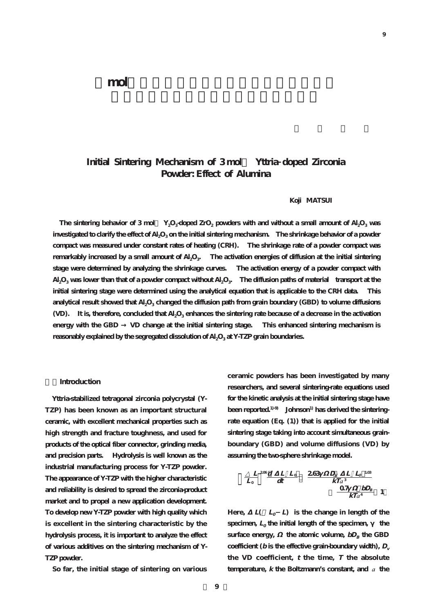# **Initial Sintering Mechanism of 3 mol% Yttria doped Zirconia Powder: Effect of Alumina**

# **Koji MATSUI**

The sintering behavior of 3 mol  $Y_2O_3$ -doped ZrO<sub>2</sub> powders with and without a small amount of Al<sub>2</sub>O<sub>3</sub> was investigated to clarify the effect of Al<sub>2</sub>O<sub>3</sub> on the initial sintering mechanism. The shrinkage behavior of a powder **compact was measured under constant rates of heating (CRH). The shrinkage rate of a powder compact was** remarkably increased by a small amount of Al<sub>2</sub>O<sub>3</sub>. The activation energies of diffusion at the initial sintering **stage were determined by analyzing the shrinkage curves. The activation energy of a powder compact with Al2O3 was lower than that of a powder compact without Al2O3. The diffusion paths of material transport at the initial sintering stage were determined using the analytical equation that is applicable to the CRH data. This analytical result showed that Al2O3 changed the diffusion path from grain boundary (GBD) to volume diffusions (VD). It is, therefore, concluded that Al2O3 enhances the sintering rate because of a decrease in the activation** energy with the GBD  $\quad$  VD change at the initial sintering stage. This enhanced sintering mechanism is reasonably explained by the segregated dissolution of Al<sub>2</sub>O<sub>3</sub> at Y-TZP grain boundaries.

#### **1.Introduction**

**Yttria-stabilized tetragonal zirconia polycrystal (Y-TZP) has been known as an important structural ceramic, with excellent mechanical properties such as high strength and fracture toughness, and used for products of the optical fiber connector, grinding media, and precision parts. Hydrolysis is well known as the industrial manufacturing process for Y-TZP powder. The appearance of Y-TZP with the higher characteristic and reliability is desired to spread the zirconia-product market and to propel a new application development. To develop new Y-TZP powder with high quality which is excellent in the sintering characteristic by the hydrolysis process, it is important to analyze the effect of various additives on the sintering mechanism of Y-TZP powder.**

**So far, the initial stage of sintering on various**

**ceramic powders has been investigated by many researchers, and several sintering-rate equations used for the kinetic analysis at the initial sintering stage have** been reported.<sup>1)-9</sup> Johnson<sup>1)</sup> has derived the sintering**rate equation (Eq. (1)) that is applied for the initial sintering stage taking into account simultaneous grainboundary (GBD) and volume diffusions (VD) by assuming the two-sphere shrinkage model.**

$$
\frac{L}{L_o} \frac{^{208}d}{dt} \frac{L}{dt} \frac{L_o}{d} \frac{263 \frac{D_v}{K T_a} \frac{L}{c} \frac{L_o}{d}}{k T_a^4} \frac{1}{1}
$$

Here,  $L(L_0 L)$  is the change in length of the specimen,  $L_0$  the initial length of the specimen, the **surface energy,** the atomic volume,  $bD_B$  the GBD coefficient ( $b$  is the effective grain-boundary width),  $D_v$ **the VD coefficient, <sup>t</sup> the time, T the absolute** temperature, *k* the Boltzmann's constant, and *a* the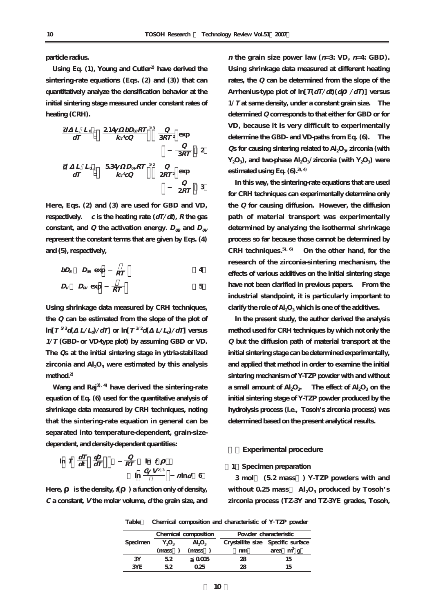**particle radius.**

**Using Eq. (1), Young and Cutler2) have derived the sintering-rate equations (Eqs. (2) and (3)) that can quantitatively analyze the densification behavior at the initial sintering stage measured under constant rates of heating (CRH).**

$$
\frac{d}{dT} \frac{L}{dT} = \frac{L}{4} \frac{dL}{dr} \frac{dL}{dr} \frac{dL}{dr} \frac{dL}{dr} \frac{dL}{dr} \frac{dL}{dr} \frac{dL}{dr} \frac{dL}{dr} \frac{dL}{dr} \frac{dL}{dr} \frac{dL}{dr} \frac{dL}{dr} \frac{dL}{dr} \frac{dL}{dr} \frac{dL}{dr} \frac{dL}{dr} \frac{dL}{dr} \frac{dL}{dr} \frac{dL}{dr} \frac{dL}{dr} \frac{dL}{dr} \frac{dL}{dr} \frac{dL}{dr} \frac{dL}{dr} \frac{dL}{dr} \frac{dL}{dr} \frac{dL}{dr} \frac{dL}{dr} \frac{dL}{dr} \frac{dL}{dr} \frac{dL}{dr} \frac{dL}{dr} \frac{dL}{dr} \frac{dL}{dr} \frac{dL}{dr} \frac{dL}{dr} \frac{dL}{dr} \frac{dL}{dr} \frac{dL}{dr} \frac{dL}{dr} \frac{dL}{dr} \frac{dL}{dr} \frac{dL}{dr} \frac{dL}{dr} \frac{dL}{dr} \frac{dL}{dr} \frac{dL}{dr} \frac{dL}{dr} \frac{dL}{dr} \frac{dL}{dr} \frac{dL}{dr} \frac{dL}{dr} \frac{dL}{dr} \frac{dL}{dr} \frac{dL}{dr} \frac{dL}{dr} \frac{dL}{dr} \frac{dL}{dr} \frac{dL}{dr} \frac{dL}{dr} \frac{dL}{dr} \frac{dL}{dr} \frac{dL}{dr} \frac{dL}{dr} \frac{dL}{dr} \frac{dL}{dr} \frac{dL}{dr} \frac{dL}{dr} \frac{dL}{dr} \frac{dL}{dr} \frac{dL}{dr} \frac{dL}{dr} \frac{dL}{dr} \frac{dL}{dr} \frac{dL}{dr} \frac{dL}{dr} \frac{dL}{dr} \frac{dL}{dr} \frac{dL}{dr} \frac{dL}{dr} \frac{dL}{dr} \frac{dL}{dr} \frac{dL}{dr} \frac{dL}{dr} \frac{dL}{dr} \frac{dL}{dr} \frac{dL}{dr} \frac{dL}{dr} \frac{dL}{dr} \frac{dL}{dr} \frac{dL}{dr} \frac{dL}{dr} \frac
$$

**Here, Eqs. (2) and (3) are used for GBD and VD, respectively.**  $c$  **is the heating rate (** $dT/dt$ **),**  $R$  **the gas** constant, and *Q* the activation energy.  $D_{\alpha}$  and  $D_{\alpha}$ **represent the constant terms that are given by Eqs. (4) and (5), respectively,**

$$
bD_B \quad D_{\text{AB}} \text{ exp} \quad \frac{}{RT} \qquad \qquad 4
$$

$$
D_V \quad D_{0V} \exp \quad \overline{RT} \tag{5}
$$

**Using shrinkage data measured by CRH techniques, the Q can be estimated from the slope of the plot of**  $\ln[T^{5/3}d(-L/L_d)/dT]$  or  $\ln[T^{3/2}d(-L/L_d)/dT]$  versus **1/T (GBD- or VD-type plot) by assuming GBD or VD. The Qs at the initial sintering stage in yttria-stabilized** zirconia and  $\text{Al}_2\text{O}_3$  were estimated by this analysis **method.2)**

**Wang and Raj3), 4) have derived the sintering-rate equation of Eq. (6) used for the quantitative analysis of shrinkage data measured by CRH techniques, noting that the sintering-rate equation in general can be separated into temperature-dependent, grain-sizedependent, and density-dependent quantities:**

$$
\ln T \frac{dT}{dt} \frac{d}{dT} \qquad \frac{Q}{RT} \ln f
$$
  

$$
\ln \frac{C V^{2/3}}{L} \qquad n \ln d \quad 6
$$

**Here, is the density, f( ) a function only of density, C a constant, V the molar volume, d the grain size, and**

*n* the grain size power law  $(n=3; \text{VD}, n=4; \text{GBD})$ . **Using shrinkage data measured at different heating rates, the Q can be determined from the slope of the Arrhenius-type plot of ln[T(dT/dt)(d /dT)] versus 1/T at same density, under a constant grain size. The determined Q corresponds to that either for GBD or for VD, because it is very difficult to experimentally determine the GBD- and VD-paths from Eq. (6). The Qs** for causing sintering related to Al<sub>2</sub>O<sub>3</sub>, zirconia (with Y<sub>2</sub>O<sub>3</sub>), and two-phase Al<sub>2</sub>O<sub>3</sub>/zirconia (with Y<sub>2</sub>O<sub>3</sub>) were **estimated using Eq. (6).3), 4)**

**In this way, the sintering-rate equations that are used for CRH techniques can experimentally determine only the Q for causing diffusion. However, the diffusion path of material transport was experimentally determined by analyzing the isothermal shrinkage process so far because those cannot be determined by CRH techniques.5), 6) On the other hand, for the research of the zirconia-sintering mechanism, the effects of various additives on the initial sintering stage have not been clarified in previous papers. From the industrial standpoint, it is particularly important to** clarify the role of Al<sub>2</sub>O<sub>3</sub> which is one of the additives.

**In the present study, the author derived the analysis method used for CRH techniques by which not only the Q but the diffusion path of material transport at the initial sintering stage can be determined experimentally, and applied that method in order to examine the initial sintering mechanism of Y-TZP powder with and without** a small amount of  $AI_2O_3$ . The effect of  $AI_2O_3$  on the **initial sintering stage of Y-TZP powder produced by the hydrolysis process (i.e., Tosoh's zirconia process) was determined based on the present analytical results.**

#### **2.Experimental procedure**

#### **[1]Specimen preparation**

**3 mol% (5.2 mass%) Y-TZP powders with and** without  $0.25$  mass  $\text{Al}_2\text{O}_3$  produced by Tosoh's **zirconia process (TZ-3Y and TZ-3YE grades, Tosoh,**

**Table1 Chemical composition and characteristic of Y TZP powder**

| Specimen | Chemical composition |                         | Powder characteristic |                                   |  |  |
|----------|----------------------|-------------------------|-----------------------|-----------------------------------|--|--|
|          | $Y_2O_3$             | $\text{Al}_2\text{O}_3$ |                       | Crystallite size Specific surface |  |  |
|          | mass)                | (mass                   | nm                    | area $m^2$ g                      |  |  |
| 3Y       | 52                   | 0005                    | 28                    | 15                                |  |  |
| 3YE      | 52                   | 025                     | 28                    | 15                                |  |  |
|          |                      |                         |                       |                                   |  |  |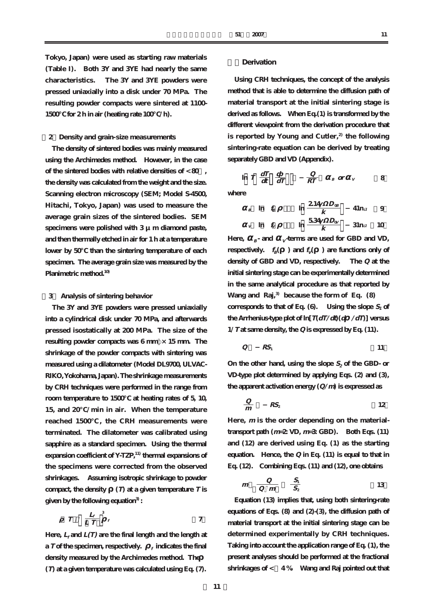**Tokyo, Japan) were used as starting raw materials (Table I). Both 3Y and 3YE had nearly the same characteristics. The 3Y and 3YE powders were pressed uniaxially into a disk under 70 MPa. The resulting powder compacts were sintered at 1100- 1500℃ for 2 h in air (heating rate 100℃/h).**

# **[2]Density and grain-size measurements**

**The density of sintered bodies was mainly measured using the Archimedes method. However, in the case of the sintered bodies with relative densities of < 80%, the density was calculated from the weight and the size. Scanning electron microscopy (SEM; Model S-4500, Hitachi, Tokyo, Japan) was used to measure the average grain sizes of the sintered bodies. SEM specimens were polished with 3 μm diamond paste, and then thermally etched in air for 1 h at a temperature lower by 50℃ than the sintering temperature of each specimen. The average grain size was measured by the Planimetric method.10)**

## **[3] Analysis of sintering behavior**

**The 3Y and 3YE powders were pressed uniaxially into a cylindrical disk under 70 MPa, and afterwards pressed isostatically at 200 MPa. The size of the resulting powder compacts was 6 mm ×15 mm. The shrinkage of the powder compacts with sintering was measured using a dilatometer (Model DL9700, ULVAC-RIKO, Yokohama, Japan). The shrinkage measurements by CRH techniques were performed in the range from room temperature to 1500℃ at heating rates of 5, 10, 15, and 20℃/min in air. When the temperature reached 1500℃ , the CRH measurements were terminated. The dilatometer was calibrated using sapphire as a standard specimen. Using the thermal expansion coefficient of Y-TZP,11) thermal expansions of the specimens were corrected from the observed shrinkages. Assuming isotropic shrinkage to powder** compact, the density  $(T)$  at a given temperature  $T$  is **given by the following equation3) :**

$$
T = \frac{L_f}{L T} \int_{-f}^{3} t
$$

Here,  $L_f$  and  $L(T)$  are the final length and the length at **a**  $T$  of the specimen, respectively.  $\int$  **f** indicates the final **density measured by the Archimedes method. The (T) at a given temperature was calculated using Eq. (7).**

#### **3.Derivation**

**Using CRH techniques, the concept of the analysis method that is able to determine the diffusion path of material transport at the initial sintering stage is derived as follows. When Eq.(1) is transformed by the different viewpoint from the derivation procedure that is reported by Young and Cutler,2) the following sintering-rate equation can be derived by treating separately GBD and VD (Appendix).**

**where**

$$
B \quad \ln f_B \qquad \ln \frac{214 \quad D_{0B}}{k} \qquad 41 \text{ n}a \qquad 9
$$

 $\ln T \frac{dT}{dt} \frac{d}{dT}$   $\frac{Q}{RT}$   $B \alpha r$   $V$  8 **Q RT**

**d**  $\frac{1}{4}$  dt dT

$$
v \quad \ln \quad f_v \qquad \ln \frac{534 \quad D_{\alpha}}{k} \qquad 3 \ln a \qquad 10
$$

Here,  $B = \text{grad}$  **v**-terms are used for GBD and VD, **respectively.**  $f_B$  **(**  $\rightarrow$  **and**  $f_V$  **(**  $\rightarrow$  **are functions only of density of GBD and VD, respectively. The Q at the initial sintering stage can be experimentally determined in the same analytical procedure as that reported by Wang and Raj,3) because the form of Eq. (8)**  corresponds to that of Eq.  $(6)$ . Using the slope  $S_1$  of **the Arrhenius-type plot of**  $\ln[T(dT/dt)(d \angle dT)]$  **versus 1/T at same density, the Q is expressed by Eq. (11).**

$$
Q \qquad RS_1 \qquad \qquad 11
$$

On the other hand, using the slope  $S_2$  of the GBD- or **VD-type plot determined by applying Eqs. (2) and (3), the apparent activation energy (Q/m) is expressed as**

$$
\frac{Q}{m} \qquad RS_2 \tag{12}
$$

**Here, <sup>m</sup> is the order depending on the materialtransport path (m=2: VD, m=3: GBD). Both Eqs. (11) and (12) are derived using Eq. (1) as the starting equation. Hence, the Q in Eq. (11) is equal to that in Eq. (12). Combining Eqs. (11) and (12), one obtains**

$$
m \quad \frac{Q}{Q \quad m} \qquad \frac{S_1}{S_2} \tag{13}
$$

**Equation (13) implies that, using both sintering-rate equations of Eqs. (8) and (2)-(3), the diffusion path of material transport at the initial sintering stage can be determined experimentally by CRH techniques. Taking into account the application range of Eq. (1), the present analyses should be performed at the fractional shrinkages of < ~4 %. Wang and Raj pointed out that**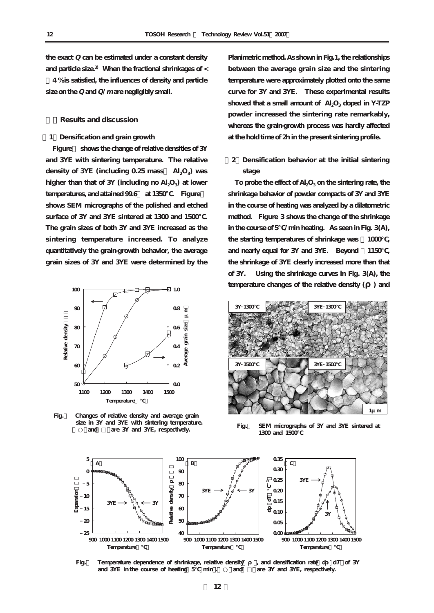**the exact Q can be estimated under a constant density and particle size.3) When the fractional shrinkages of <**

**~4 % is satisfied, the influences of density and particle size on the Q and Q/<sup>m</sup> are negligibly small.**

**4.Results and discussion**

**[1]Densification and grain growth**

**Figure** shows the change of relative densities of 3Y **and 3YE with sintering temperature. The relative density of 3YE (including 0.25 mass% Al2O3) was** higher than that of 3Y (including no Al<sub>2</sub>O<sub>3</sub>) at lower **temperatures, and attained 99.6 at 1350 . Figure shows SEM micrographs of the polished and etched surface of 3Y and 3YE sintered at 1300 and 1500℃. The grain sizes of both 3Y and 3YE increased as the sintering temperature increased. To analyze quantitatively the grain-growth behavior, the average grain sizes of 3Y and 3YE were determined by the**



**Fig.1 Changes of relative density and average grain size in 3Y and 3YE with sintering temperature.** are 3Y and 3YE, respectively.

**Planimetric method. As shown in Fig.1, the relationships between the average grain size and the sintering temperature were approximately plotted onto the same curve for 3Y and 3YE. These experimental results** showed that a small amount of Al<sub>2</sub>O<sub>3</sub> doped in Y-TZP **powder increased the sintering rate remarkably, whereas the grain-growth process was hardly affected at the hold time of 2h in the present sintering profile.**

**[2]Densification behavior at the initial sintering stage**

To probe the effect of Al<sub>2</sub>O<sub>3</sub> on the sintering rate, the **shrinkage behavior of powder compacts of 3Y and 3YE in the course of heating was analyzed by a dilatometric method. Figure 3 shows the change of the shrinkage in the course of 5℃/min heating. As seen in Fig. 3(A), the starting temperatures of shrinkage was ~1000℃, and nearly equal for 3Y and 3YE. Beyond ~1150℃, the shrinkage of 3YE clearly increased more than that of 3Y. Using the shrinkage curves in Fig. 3(A), the temperature changes of the relative density ( ) and**



**Fig.2 SEM micrographs of 3Y and 3YE sintered at** 1300 and 1500



**Fig.** Temperature dependence of shrinkage, relative density and densification rate d d and 3YE in the course of heating 5 min. and are 3Y and 3YE, respectively. and 3YE in the course of heating 5 min. and

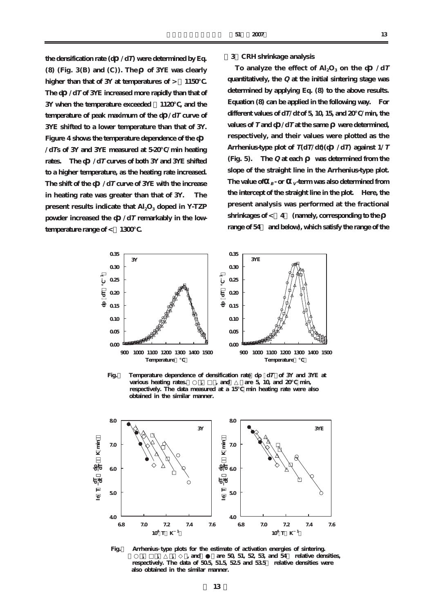**the densification rate (d /dT) were determined by Eq. (8) (Fig. 3(B) and (C)). The of 3YE was clearly higher than that of 3Y at temperatures of > ~1150℃. The d /dT of 3YE increased more rapidly than that of 3Y when the temperature exceeded ~1120℃, and the temperature of peak maximum of the d /dT curve of 3YE shifted to a lower temperature than that of 3Y. Figure 4 shows the temperature dependence of the d**

**/dTs of 3Y and 3YE measured at 5-20℃/min heating rates. The d /dT curves of both 3Y and 3YE shifted to a higher temperature, as the heating rate increased. The shift of the d /dT curve of 3YE with the increase in heating rate was greater than that of 3Y. The present results indicate that Al<sub>2</sub>O<sub>3</sub> doped in Y-TZP powder increased the d /dT remarkably in the lowtemperature range of <**  $1300$ **.** 

## **[3]CRH shrinkage analysis**

To analyze the effect of  $\text{Al}_2\text{O}_3$  on the d  $\div dT$ **quantitatively, the Q at the initial sintering stage was determined by applying Eq. (8) to the above results. Equation (8) can be applied in the following way. For different values of dT/d<sup>t</sup> of 5, 10, 15, and 20℃/min, the values of T and d /dT at the same were determined, respectively, and their values were plotted as the Arrhenius-type plot of T(dT/dt)(d /dT) against 1/T (Fig. 5). The Q at each was determined from the slope of the straight line in the Arrhenius-type plot.** The value of  $B_{\text{B}}$  or  $V$  *v* term was also determined from **the intercept of the straight line in the plot. Here, the present analysis was performed at the fractional** shrinkages of < 4 (namely, corresponding to the **range of 54% and below), which satisfy the range of the**



**Fig.5 Arrhenius type plots for the estimate of activation energies of sintering. (and are 50, 51, 52, 53, and 54 relative densities, respectively. The data of 50.5, 51.5, 52.5 and 53.5% relative densities were also obtained in the similar manner.**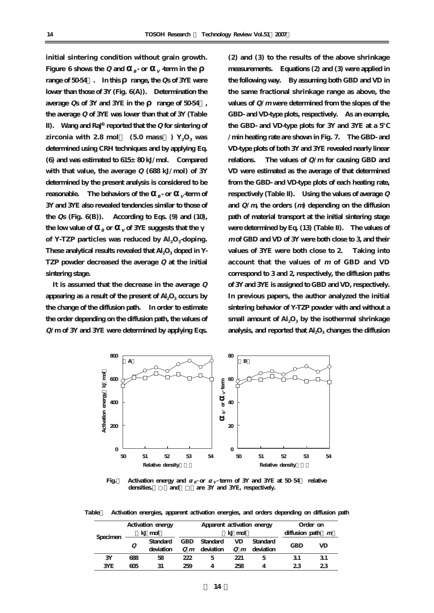**initial sintering condition without grain growth. Figure 6** shows the Q and  $B$ - or  $V$  term in the **range of 50-54%. In this range, the Qs of 3YE were lower than those of 3Y (Fig. 6(A)). Determination the average Qs of 3Y and 3YE in the range of 50-54%, the average Q of 3YE was lower than that of 3Y (Table II). Wang and Raj4) reported that the Q for sintering of zirconia with 2.8 mol**  $(5.0 \text{ mass})$   $Y_2O_3$  **was determined using CRH techniques and by applying Eq. (6) and was estimated to 615±80 kJ/mol. Compared with that value, the average Q (688 kJ/mol) of 3Y determined by the present analysis is considered to be reasonable.** The behaviors of the  $B$ **<sub>B</sub>**- or  $V$  **-term of 3Y and 3YE also revealed tendencies similar to those of the Qs (Fig. 6(B)). According to Eqs. (9) and (10), the low value of**  $B$  **or**  $V$  **of 3YE suggests that the** of Y-TZP particles was reduced by  $Al_2O_3$ -doping. These analytical results revealed that Al<sub>2</sub>O<sub>3</sub> doped in Y-**TZP powder decreased the average Q at the initial sintering stage.**

**It is assumed that the decrease in the average Q** appearing as a result of the present of Al<sub>2</sub>O<sub>3</sub> occurs by **the change of the diffusion path. In order to estimate the order depending on the diffusion path, the values of Q/m of 3Y and 3YE were determined by applying Eqs.**

**(2) and (3) to the results of the above shrinkage measurements. Equations (2) and (3) were applied in the following way. By assuming both GBD and VD in the same fractional shrinkage range as above, the values of Q/<sup>m</sup> were determined from the slopes of the GBD- and VD-type plots, respectively. As an example, the GBD- and VD-type plots for 3Y and 3YE at a 5℃ /min heating rate are shown in Fig. 7. The GBD- and VD-type plots of both 3Y and 3YE revealed nearly linear relations. The values of Q/m for causing GBD and VD were estimated as the average of that determined from the GBD- and VD-type plots of each heating rate, respectively (Table II). Using the values of average Q and Q/m, the orders (m) depending on the diffusion path of material transport at the initial sintering stage were determined by Eq. (13) (Table II). The values of <sup>m</sup> of GBD and VD of 3Y were both close to 3, and their values of 3YE were both close to 2. Taking into account that the values of <sup>m</sup> of GBD and VD correspond to 3 and 2, respectively, the diffusion paths of 3Y and 3YE is assigned to GBD and VD, respectively. In previous papers, the author analyzed the initial sintering behavior of Y-TZP powder with and without a** small amount of  $AI<sub>2</sub>O<sub>3</sub>$  by the isothermal shrinkage analysis, and reported that Al<sub>2</sub>O<sub>3</sub> changes the diffusion



**Fig.** Activation energy and  $\frac{1}{B}$  or  $\frac{1}{V}$  term of 3Y and 3YE at 50 54 relative densities. and are 3Y and 3YE, respectively. **B V**

**Table2 Activation energies, apparent activation energies, and orders depending on diffusion path**

| Specimen | Activation energy |           | Apparent activation energy |           |     |                        | Order on           |    |
|----------|-------------------|-----------|----------------------------|-----------|-----|------------------------|--------------------|----|
|          | kJ mol            |           | kJ mol                     |           |     |                        | diffusion path $m$ |    |
|          | Q                 | Standard  | <b>GBD</b>                 | Standard  | VD. | Standard               | <b>GBD</b>         | VD |
|          |                   | deviation | $Q_m$                      | deviation |     | $Q$ <i>m</i> deviation |                    |    |
| 3Y       | 688               | 58        | 222                        | 5         | 221 | 5                      | 31                 | 31 |
| 3YE      | ണ                 | 31        | 259                        | 4         | 258 | Δ                      | 23                 | 23 |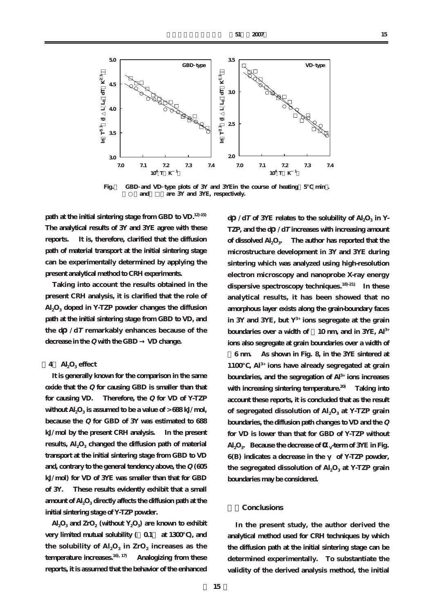

**Fig.7 GBD and VD type plots of 3Y and 3YEin the course of heating(5℃ min).** and are 3Y and 3YE, respectively.

**path at the initial sintering stage from GBD to VD.12)-15) The analytical results of 3Y and 3YE agree with these reports. It is, therefore, clarified that the diffusion path of material transport at the initial sintering stage can be experimentally determined by applying the present analytical method to CRH experiments.**

**Taking into account the results obtained in the present CRH analysis, it is clarified that the role of Al2O3 doped in Y-TZP powder changes the diffusion path at the initial sintering stage from GBD to VD, and the d /dT remarkably enhances because of the decrease in the Q with the GBD → VD change.**

## **[4] Al2O3 effect**

**It is generally known for the comparison in the same oxide that the Q for causing GBD is smaller than that for causing VD. Therefore, the Q for VD of Y-TZP** without  $Al_2O_3$  is assumed to be a value of  $> 688 \text{ kJ/mol}$ , **because the Q for GBD of 3Y was estimated to 688 kJ/mol by the present CRH analysis. In the present** results, Al<sub>2</sub>O<sub>3</sub> changed the diffusion path of material **transport at the initial sintering stage from GBD to VD and, contrary to the general tendency above, the Q (605 kJ/mol) for VD of 3YE was smaller than that for GBD of 3Y. These results evidently exhibit that a small** amount of Al<sub>2</sub>O<sub>3</sub> directly affects the diffusion path at the **initial sintering stage of Y-TZP powder.**

 $\text{Al}_2\text{O}_3$  and  $\text{ZrO}_2$  (without  $\text{Y}_2\text{O}_3$ ) are known to exhibit very limited mutual solubility ( $0.1$  at 1300<sup>o</sup>), and the solubility of  $\text{Al}_2\text{O}_3$  in  $\text{ZrO}_2$  increases as the **temperature increases.16), 17) Analogizing from these reports, it is assumed that the behavior of the enhanced**

**d**  $\sqrt{dT}$  of 3YE relates to the solubility of Al<sub>2</sub>O<sub>3</sub> in Y-**TZP, and the d /dT increases with increasing amount** of dissolved Al<sub>2</sub>O<sub>3</sub>. The author has reported that the **microstructure development in 3Y and 3YE during sintering which was analyzed using high-resolution electron microscopy and nanoprobe X-ray energy dispersive spectroscopy techniques.18)-21) In these analytical results, it has been showed that no amorphous layer exists along the grain-boundary faces in 3Y and 3YE, but Y3+ ions segregate at the grain boundaries over a width of ~10 nm, and in 3YE, Al3+ ions also segregate at grain boundaries over a width of**

**~6 nm. As shown in Fig. 8, in the 3YE sintered at 1100℃, Al3+ ions have already segregated at grain boundaries, and the segregation of Al3+ ions increases with increasing sintering temperature.20) Taking into account these reports, it is concluded that as the result** of segregated dissolution of Al<sub>2</sub>O<sub>3</sub> at Y-TZP grain **boundaries, the diffusion path changes to VD and the Q for VD is lower than that for GBD of Y-TZP without**  $\text{Al}_2\text{O}_3$ . Because the decrease of v<sup>-term</sup> of  $3\text{YE}$  in Fig. **6**(B) indicates a decrease in the of Y-TZP powder, the segregated dissolution of Al<sub>2</sub>O<sub>3</sub> at Y-TZP grain **boundaries may be considered.**

## **5.Conclusions**

**In the present study, the author derived the analytical method used for CRH techniques by which the diffusion path at the initial sintering stage can be determined experimentally. To substantiate the validity of the derived analysis method, the initial**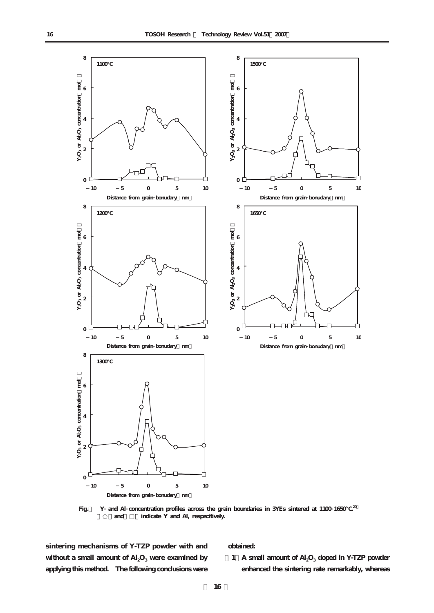

**Fig.8 Y and Al concentration profiles across the grain boundaries in 3YEs sintered at 1100 1650℃.20)** and **indicate Y** and Al, respecitively.

**sintering mechanisms of Y-TZP powder with and** without a small amount of  $\text{Al}_2\text{O}_3$  were examined by **applying this method. The following conclusions were**

## **obtained:**

**(1)A small amount of Al2O3 doped in Y-TZP powder enhanced the sintering rate remarkably, whereas**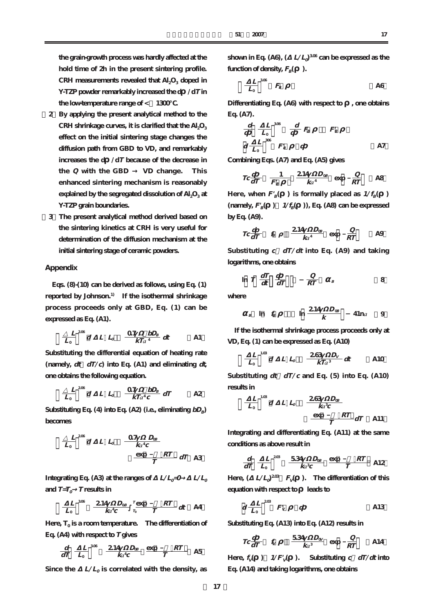**the grain-growth process was hardly affected at the hold time of 2h in the present sintering profile.** CRH measurements revealed that Al<sub>2</sub>O<sub>3</sub> doped in **Y-TZP powder remarkably increased the d /dT in the low-temperature range of < ~1300℃.**

- **(2)By applying the present analytical method to the** CRH shrinkage curves, it is clarified that the Al<sub>2</sub>O<sub>3</sub> **effect on the initial sintering stage changes the diffusion path from GBD to VD, and remarkably increases the d /dT because of the decrease in the Q with the GBD → VD change. This enhanced sintering mechanism is reasonably** explained by the segregated dissolution of Al<sub>2</sub>O<sub>3</sub> at **Y-TZP grain boundaries.**
- **(3)The present analytical method derived based on the sintering kinetics at CRH is very useful for determination of the diffusion mechanism at the initial sintering stage of ceramic powders.**

#### **Appendix**

**Eqs. (8)-(10) can be derived as follows, using Eq. (1) reported by Johnson.1) If the isothermal shrinkage process proceeds only at GBD, Eq. (1) can be expressed as Eq. (A1).**

$$
\frac{L}{L_o}^{208} d \quad L \quad L_o \quad \frac{Q7}{kTa^4} \frac{bD_B}{4} dt \qquad \qquad \text{Al}
$$

**Substituting the differential equation of heating rate (namely, dt dT/c) into Eq. (A1) and eliminating dt, one obtains the following equation.**

$$
\frac{L}{L_o}^{208} d \quad L \quad L_o \quad \frac{0.7 \quad bD_B}{kT_a^4c} dT \qquad \qquad \text{A2}
$$

**Substituting Eq.** (4) into Eq. (A2) (i.e., eliminating  $bD_B$ ) **becomes**

$$
\frac{L}{L_0}^{208} d L L_0 \frac{0.07}{k a^4 c}
$$
\n
$$
\frac{C}{T} \frac{E}{T} dT A3
$$

**Integrating Eq. (A3) at the ranges of**  $L/L$ <sup> $=$ </sup> $0$   $L/L$ <sup> $=$ </sup> and  $T=T_0$  **T** results in

$$
\frac{L}{L_0} \stackrel{\text{308}}{=} \frac{2.14 \quad D_{0B}}{ka^4c} \stackrel{T \text{exp}}{= \frac{\pi}{L_0}} \frac{RT}{T} dt \quad \text{A4}
$$

Here,  $T_0$  **is a room temperature.** The differentiation of **Eq. (A4) with respect to T gives**

$$
\frac{d}{dT} \frac{L}{L_0}^{306} \frac{2.14}{ka^4c} \frac{D_{08}}{T} \frac{\exp RT}{T}
$$

Since the  $L/L_0$  is correlated with the density, as

**shown in Eq. (A6), (** $L/L<sub>0</sub><sup>306</sup>$  can be expressed as the **function of density,**  $F<sub>B</sub>()$ **.** 

$$
\frac{L}{L_0}^{308} F_B
$$

**Differentiating Eq. (A6) with respect to , one obtains Eq. (A7).**

$$
\frac{d}{d} \frac{L}{L_0} \stackrel{\text{306}}{=} \frac{d}{d} F_B \qquad F'_B
$$
\n
$$
d \frac{L}{L_0} \stackrel{\text{308}}{=} F'_B \qquad \qquad A7
$$

**Combining Eqs. (A7) and Eq. (A5) gives**

$$
Tc\frac{d}{dT} \quad \frac{1}{F'_B} \quad \frac{2.14}{ka^4} \quad \exp \quad \frac{Q}{RT} \quad \text{A8}
$$

Here, when  $F'_{B}$  ( ) is formally placed as  $1/f_{B}$  ( )  ${\rm (namely, } F'_{B}$  ( ${\rm )}$   $1/f_{B}$  ( ${\rm )}$ ), Eq. (A8) can be expressed **by Eq. (A9).**

$$
TC\frac{d}{dT}
$$
  $f_B$   $\frac{214 D_{GB}}{ka^4}$  exp  $\frac{Q}{RT}$  A9

**Substituting c=dT/dt into Eq. (A9) and taking logarithms, one obtains**

$$
\ln T \frac{dT}{dt} \frac{d}{dT} \qquad \frac{Q}{RT} \qquad B
$$

**where**

$$
B \quad \ln f_B \qquad \ln \frac{214 \quad D_{0B}}{k} \qquad 41 \text{ n}a \qquad 9
$$

**If the isothermal shrinkage process proceeds only at VD, Eq. (1) can be expressed as Eq. (A10)**

$$
\frac{L}{L_0}^{1.08} d \quad L \quad L_0 \quad \frac{263}{kT a^3} C_V \quad \text{A10}
$$

Substituting  $dt = dT/c$  and Eq. (5) into Eq. (A10) **results in**

$$
\frac{L}{L_0}^{1.03} d L L_0 \frac{263 D_{0B}}{ka^3c}
$$
\n
$$
\frac{\exp RT}{T} dT
$$
 A11

**Integrating and differentiating Eq. (A11) at the same conditions as above result in**

$$
\frac{d}{dT} \frac{L}{L_0}^{208} \frac{534}{ka^3c} \frac{D_{08}}{T} \frac{\exp{RT}}{T} \text{Al2}
$$

Here,  $(L/L)$ <sup>2.03</sup>  $F_v( )$ . The differentiation of this **equation with respect to leads to**

$$
d\frac{L}{L_0}^{208}F'_V \qquad d \qquad \qquad \text{A13}
$$

**Substituting Eq. (A13) into Eq. (A12) results in**

$$
Tc\frac{d}{dT} \quad f_v \qquad \frac{534}{ka^3} \quad \exp \quad \frac{Q}{RT} \qquad \text{A14}
$$

**Here,**  $f_v$   $\rightarrow$   $1/F_v'$   $\rightarrow$  Substituting  $c \frac{dT}{dt}$  into **Eq. (A14) and taking logarithms, one obtains**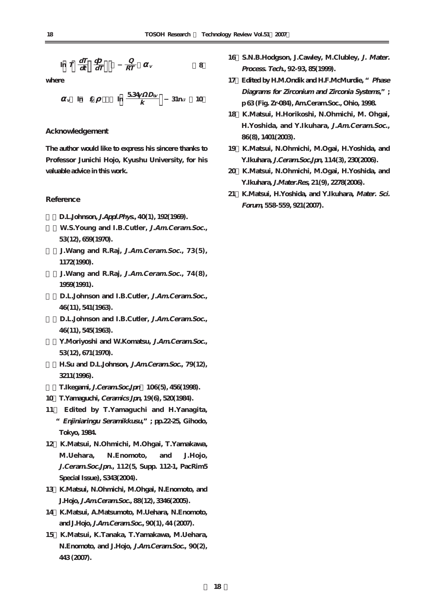$$
\ln T \frac{dT}{dt} \frac{d}{dT} \frac{Q}{RT} \frac{Q}{RT} \qquad \text{8}
$$

**where**

$$
v \quad \text{ln} \quad f_V \qquad \text{ln} \quad \frac{534}{k} \quad \text{ln} \quad 10
$$

# **Acknowledgement**

**The author would like to express his sincere thanks to Professor Junichi Hojo, Kyushu University, for his valuable advice in this work.** 

#### **Reference**

**1)D.L.Johnson, J.Appl.Phys., 40(1), 192(1969).**

**2)W.S.Young and I.B.Cutler, J.Am.Ceram.Soc., 53(12), 659(1970).**

**3)J.Wang and R.Raj, J.Am.Ceram.Soc., 73(5), 1172(1990).**

**4)J.Wang and R.Raj, J.Am.Ceram.Soc., 74(8), 1959(1991).**

**5)D.L.Johnson and I.B.Cutler, J.Am.Ceram.Soc., 46(11), 541(1963).**

**6)D.L.Johnson and I.B.Cutler, J.Am.Ceram.Soc., 46(11), 545(1963).**

**7)Y.Moriyoshi and W.Komatsu, J.Am.Ceram.Soc., 53(12), 671(1970).**

**8)H.Su and D.L.Johnson, J.Am.Ceram.Soc., 79(12), 3211(1996).**

**9)T.Ikegami, J.Ceram.Soc.Jpn 106(5), 456(1998).**

- **10)T.Yamaguchi, Ceramics Jpn, 19(6), 520(1984).**
- **11) Edited by T.Yamaguchi and H.Yanagita, "Enjiniaringu Seramikkusu,"; pp.22-25, Gihodo, Tokyo, 1984.**
- **12)K.Matsui, N.Ohmichi, M.Ohgai, T.Yamakawa, M.Uehara, N.Enomoto, and J.Hojo, J.Ceram.Soc.Jpn., 112(5, Supp. 112-1, PacRim5 Special Issue), S343(2004).**
- **13)K.Matsui, N.Ohmichi, M.Ohgai, N.Enomoto, and J.Hojo, J.Am.Ceram.Soc., 88(12), 3346(2005).**
- **14)K.Matsui, A.Matsumoto, M.Uehara, N.Enomoto, and J.Hojo, J.Am.Ceram.Soc., 90(1), 44 (2007).**
- **15)K.Matsui, K.Tanaka, T.Yamakawa, M.Uehara, N.Enomoto, and J.Hojo, J.Am.Ceram.Soc., 90(2), 443 (2007).**
- 16 S.N.B.Hodgson, J.Cawley, M.Clubley, *J. Mater.* **Process. Tech., 92-93, 85(1999).**
- **17)Edited by H.M.Ondik and H.F.McMurdie, "Phase Diagrams for Zirconium and Zirconia Systems,"; p 63 (Fig. Zr-084), Am.Ceram.Soc., Ohio, 1998.**
- **18)K.Matsui, H.Horikoshi, N.Ohmichi, M. Ohgai, H.Yoshida, and Y.Ikuhara, J.Am.Ceram.Soc., 86(8), 1401(2003).**
- **19)K.Matsui, N.Ohmichi, M.Ogai, H.Yoshida, and Y.Ikuhara, J.Ceram.Soc.Jpn, 114(3), 230(2006).**
- **20)K.Matsui, N.Ohmichi, M.Ogai, H.Yoshida, and Y.Ikuhara, J.Mater.Res, 21(9), 2278(2006).**
- **21)K.Matsui, H.Yoshida, and Y.Ikuhara, Mater. Sci. Forum, 558-559, 921(2007).**